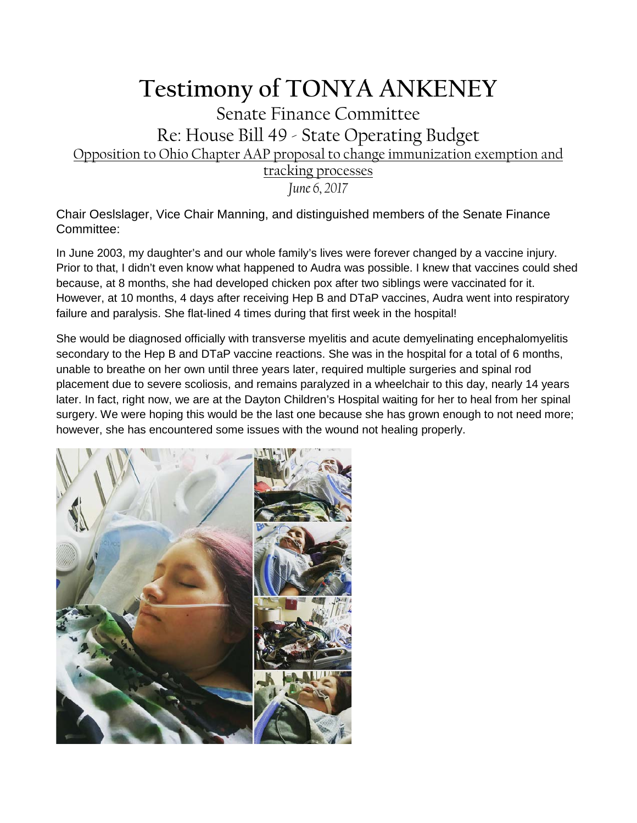## **Testimony of TONYA ANKENEY**

## Senate Finance Committee Re: House Bill 49 - State Operating Budget Opposition to Ohio Chapter AAP proposal to change immunization exemption and tracking processes

*June 6, 2017*

Chair Oeslslager, Vice Chair Manning, and distinguished members of the Senate Finance Committee:

In June 2003, my daughter's and our whole family's lives were forever changed by a vaccine injury. Prior to that, I didn't even know what happened to Audra was possible. I knew that vaccines could shed because, at 8 months, she had developed chicken pox after two siblings were vaccinated for it. However, at 10 months, 4 days after receiving Hep B and DTaP vaccines, Audra went into respiratory failure and paralysis. She flat-lined 4 times during that first week in the hospital!

She would be diagnosed officially with transverse myelitis and acute demyelinating encephalomyelitis secondary to the Hep B and DTaP vaccine reactions. She was in the hospital for a total of 6 months, unable to breathe on her own until three years later, required multiple surgeries and spinal rod placement due to severe scoliosis, and remains paralyzed in a wheelchair to this day, nearly 14 years later. In fact, right now, we are at the Dayton Children's Hospital waiting for her to heal from her spinal surgery. We were hoping this would be the last one because she has grown enough to not need more; however, she has encountered some issues with the wound not healing properly.